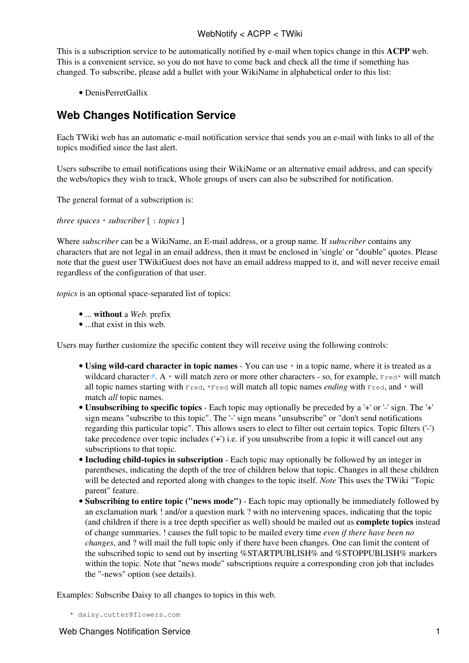## WebNotify < ACPP < TWiki

This is a subscription service to be automatically notified by e-mail when topics change in this **ACPP** web. This is a convenient service, so you do not have to come back and check all the time if something has changed. To subscribe, please add a bullet with your [WikiName](https://twiki.cern.ch/twiki/bin/view/TWiki/WikiName) in alphabetical order to this list:

• [DenisPerretGallix](https://twiki.cern.ch/twiki/bin/edit/ACPP/DenisPerretGallix?topicparent=ACPP.WebNotify;nowysiwyg=1)

## **Web Changes Notification Service**

Each TWiki web has an automatic e-mail notification service that sends you an e-mail with links to all of the topics modified since the last alert.

Users subscribe to email notifications using their [WikiName](https://twiki.cern.ch/twiki/bin/view/TWiki/WikiName) or an alternative email address, and can specify the webs/topics they wish to track, Whole groups of users can also be subscribed for notification.

The general format of a subscription is:

*three spaces* \* *subscriber* [ : *topics* ]

Where *subscriber* can be a [WikiName](https://twiki.cern.ch/twiki/bin/view/TWiki/WikiName), an E-mail address, or a group name. If *subscriber* contains any characters that are not legal in an email address, then it must be enclosed in 'single' or "double" quotes. Please note that the guest user TWikiGuest does not have an email address mapped to it, and will never receive email regardless of the configuration of that user.

*topics* is an optional space-separated list of topics:

- ... **without** a *Web.* prefix
- ...that exist in this web.

Users may further customize the specific content they will receive using the following controls:

- Using wild-card character in topic names You can use  $*$  in a topic name, where it is treated as a [wildcard character](http://en.wikipedia.org/wiki/Wildcard_character)  $\mathbb{R}$ . A \* will match zero or more other characters - so, for example, Fred\* will match all topic names starting with Fred, \*Fred will match all topic names *ending* with Fred, and \* will match *all* topic names.
- **Unsubscribing to specific topics** Each topic may optionally be preceded by a '+' or '-' sign. The '+' sign means "subscribe to this topic". The '-' sign means "unsubscribe" or "don't send notifications regarding this particular topic". This allows users to elect to filter out certain topics. Topic filters ('-') take precedence over topic includes ('+') i.e. if you unsubscribe from a topic it will cancel out any subscriptions to that topic.
- **Including child-topics in subscription** Each topic may optionally be followed by an integer in parentheses, indicating the depth of the tree of children below that topic. Changes in all these children will be detected and reported along with changes to the topic itself. *Note* This uses the TWiki "Topic parent" feature.
- **Subscribing to entire topic ("news mode")** Each topic may optionally be immediately followed by an exclamation mark ! and/or a question mark ? with no intervening spaces, indicating that the topic (and children if there is a tree depth specifier as well) should be mailed out as **complete topics** instead of change summaries. ! causes the full topic to be mailed every time *even if there have been no changes*, and ? will mail the full topic only if there have been changes. One can limit the content of the subscribed topic to send out by inserting %STARTPUBLISH% and %STOPPUBLISH% markers within the topic. Note that "news mode" subscriptions require a corresponding cron job that includes the "-news" option (see [details](https://twiki.cern.ch/twiki/bin/view/TWiki/MailerContrib#Setting_up_your_cron_job_s)).

Examples: Subscribe Daisy to all changes to topics in this web.

```
 * daisy.cutter@flowers.com
```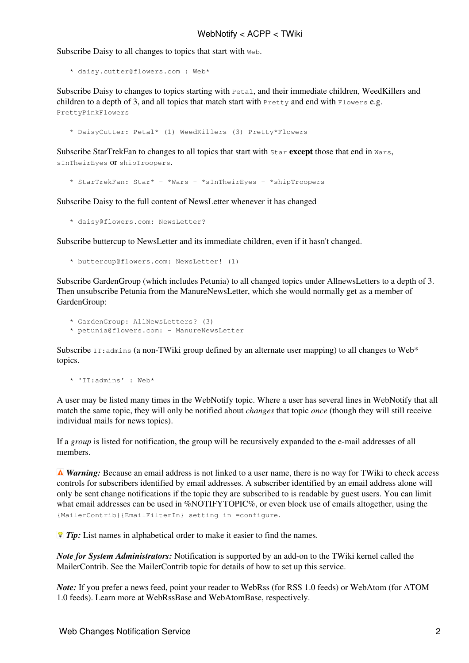Subscribe Daisy to all changes to topics that start with Web.

\* daisy.cutter@flowers.com : Web\*

Subscribe Daisy to changes to topics starting with Petal, and their immediate children, WeedKillers and children to a depth of 3, and all topics that match start with  $P_{\text{rettv}}$  and end with  $F_{\text{lowest}}$  e.g. PrettyPinkFlowers

\* DaisyCutter: Petal\* (1) WeedKillers (3) Pretty\*Flowers

Subscribe StarTrekFan to changes to all topics that start with Star **except** those that end in Wars, sInTheirEyes or shipTroopers.

\* StarTrekFan: Star\* - \*Wars - \*sInTheirEyes - \*shipTroopers

Subscribe Daisy to the full content of NewsLetter whenever it has changed

\* daisy@flowers.com: NewsLetter?

Subscribe buttercup to NewsLetter and its immediate children, even if it hasn't changed.

\* buttercup@flowers.com: NewsLetter! (1)

Subscribe GardenGroup (which includes Petunia) to all changed topics under AllnewsLetters to a depth of 3. Then unsubscribe Petunia from the ManureNewsLetter, which she would normally get as a member of [GardenGroup](https://twiki.cern.ch/twiki/bin/edit/TWiki/GardenGroup?topicparent=ACPP.WebNotify;nowysiwyg=1):

- \* GardenGroup: AllNewsLetters? (3)
- \* petunia@flowers.com: ManureNewsLetter

Subscribe  $IT:$  admins (a non-TWiki group defined by an alternate user mapping) to all changes to Web\* topics.

\* 'IT:admins' : Web\*

A user may be listed many times in the WebNotify topic. Where a user has several lines in WebNotify that all match the same topic, they will only be notified about *changes* that topic *once* (though they will still receive individual mails for news topics).

If a *group* is listed for notification, the group will be recursively expanded to the e-mail addresses of all members.

*A Warning:* Because an email address is not linked to a user name, there is no way for TWiki to check access controls for subscribers identified by email addresses. A subscriber identified by an email address alone will only be sent change notifications if the topic they are subscribed to is readable by guest users. You can limit what email addresses can be used in %NOTIFYTOPIC%, or even block use of emails altogether, using the {MailerContrib}{EmailFilterIn} setting in =configure.

*Tip:* List names in alphabetical order to make it easier to find the names.

*Note for System Administrators:* Notification is supported by an add-on to the TWiki kernel called the MailerContrib. See the [MailerContrib](https://twiki.cern.ch/twiki/bin/view/TWiki/MailerContrib) topic for details of how to set up this service.

*Note:* If you prefer a news feed, point your reader to [WebRss](https://twiki.cern.ch/twiki/bin/view/ACPP/WebRss) (for RSS 1.0 feeds) or [WebAtom](https://twiki.cern.ch/twiki/bin/view/ACPP/WebAtom) (for ATOM 1.0 feeds). Learn more at [WebRssBase](https://twiki.cern.ch/twiki/bin/view/TWiki/WebRssBase) and [WebAtomBase,](https://twiki.cern.ch/twiki/bin/view/TWiki/WebAtomBase) respectively.